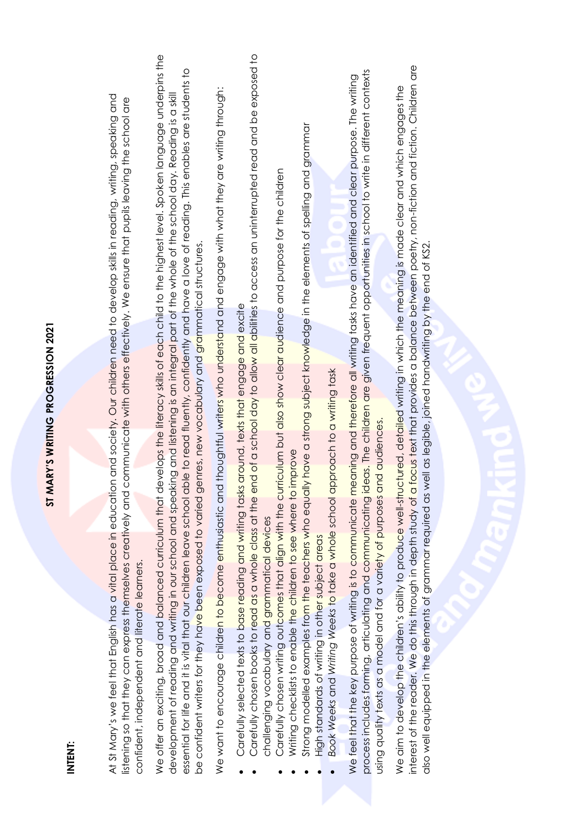## ST MARY'S WRITING PROGRESSION 2021 **ST MARY'S WRITING PROGRESSION 2021**

## **INTENT:**

At St Mary's we feel that English has a vital place in education and society. Our children need to develop skills in reading, writing, speaking and At St Mary's we feel that English has a <mark>vit</mark>al place in education and society. Our children need to develop skills in reading, writing, speaking and listening so that they can express the<mark>m</mark>selves creatively and communicate with others effectively. We ensure that pupils leaving the school are listening so that they can express themselves creatively and communicate with others effectively. We ensure that pupils leaving the school are confident, independent and literate learners. confident, independent and literate learners.

We offer an exciting, broad and balanced curriculum that develops the literacy skills of each child to the highest level. Spoken language underpins the We offer an exciting, broad and balanced curriculum that develops the literacy skills of each child to the highest level. Spoken language underpins the essential for life and it is vital that our children leave school able to read fluently, confidently and have a love of reading. This enables are students to essential for life and it is vital that our children leave school able to read fluently, confidently, confidently, confidently, confidents to read fluently, confidents to read fluently, confidently, confidently, confidentl development of reading and writing in our school and speaking and listening is an integral part of the whole of the school day. Reading is a skill development of reading and writing in our school and speaking and listening is an integral part of the whole of the school day. Reading is a skill be confident writers for they have been exposed to varied genres, new vocabulary and grammatical structures. be confident writers for they have been exposed to varied genres, new vocabulary and grammatical structures.

We want to encourage children to become enthusiastic and thoughtful writers who understand and engage with what they are writing through: We want to encourage children to become enthusiastic and thoughtful writers who understand and engage with what they are writing through:

- Carefully selected texts to base reading and writing tasks around, texts that engage and excite Carefully selected texts to base reading and writing tasks around, texts that engage and excite .
- Carefully chosen books to read as a whole class at the end of a school day to allow all abilities to access an uninterrupted read and be exposed to Carefully chosen books to read as a whole class at the end of a school day to allow all abilities to access an uninterrupted read and be exposed to challenging vocabulary and grammatical devices challenging vocabulary and grammatical devices .
	- $\bullet$  Carefully chosen writing outcomes that align with the curriculum but also show clear and purpose and purpose for the children Carefully chosen writing outcomes that align with the curriculum but also show clear audience and purpose for the children c
- Writing checklists to enable the children to see where to improve Writing checklists to enable the children to see where to improve .
- Strong modelled examples from the teachers who equally have a strong subject knowledge in the elements of spelling and grammar Strong modelled examples from the teachers who equally have a strong subject knowledge in the elements of spelling and grammar e
	- High standards of writing in other subject areas High standards of writing in other subject areas c
- Book Weeks and Writing Weeks to take a whole school approach to a writing task *Book Weeks* and *Writing Weeks* to take a whole school approach to a writing task G

process includes forming, articulating and communicating ideas. The children are given frequent opportunities in school to write in different contexts process includes forming, articulating and communicating i<mark>deas. T</mark>he children are given frequent opportunities in school to write in different contexts We feel that the key purpose of writing is to communicate meaning and therefore all writing tasks have an identified and clear purpose. The writing We feel that the key purpose of writing i<mark>s to</mark> communicate meaning and therefore all writing tasks have an identified and clear purpose. The writing using quality texts as a model and for a variety of purposes and audiences. using quality texts as a model and for a variety of purposes and audiences.

interest of the reader. We do this through in depth study of a focus text that provides a balance between poetry, non-fiction and fiction. Children are interest of the reader. We do this through in depth study of a focus text that provides a balance between poetry, non-fiction and fiction. Children are We aim to develop the children's ability to produce well-structured, detailed writing in which the meaning is made clear and which engages the We aim to develop the children's ability to produce well-structured, detailed writing in which the meaning is made clear and which engages the also well equipped in the elements of grammar required as well as legible, joined handwriting by the end of KS2. also well equipped in the elements of grammar required as well as legible, joined handwriting by the end of KS2.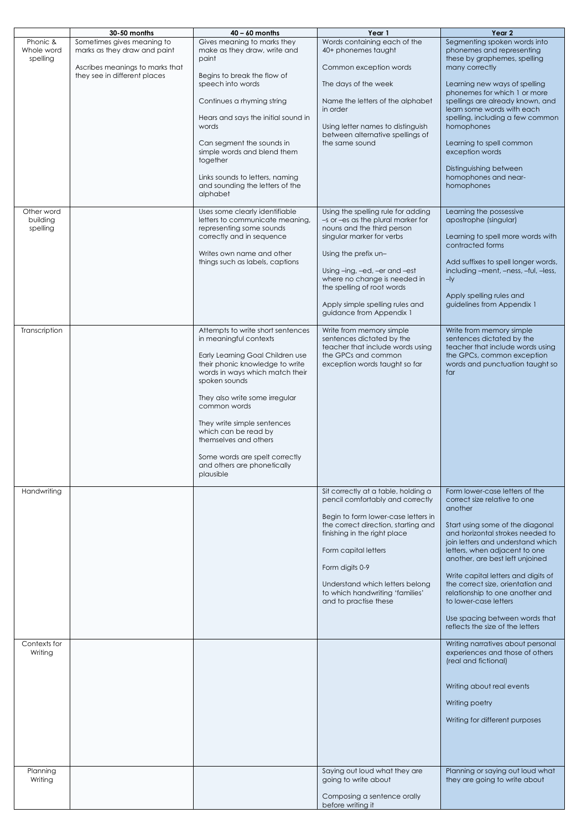|                                    | 30-50 months                                                                                  | $40 - 60$ months                                                                                                           | Year 1                                                                                                                              | Year 2                                                                                                                                                                        |
|------------------------------------|-----------------------------------------------------------------------------------------------|----------------------------------------------------------------------------------------------------------------------------|-------------------------------------------------------------------------------------------------------------------------------------|-------------------------------------------------------------------------------------------------------------------------------------------------------------------------------|
| Phonic &<br>Whole word<br>spelling | Sometimes gives meaning to<br>marks as they draw and paint<br>Ascribes meanings to marks that | Gives meaning to marks they<br>make as they draw, write and<br>paint                                                       | Words containing each of the<br>40+ phonemes taught<br>Common exception words                                                       | Segmenting spoken words into<br>phonemes and representing<br>these by graphemes, spelling<br>many correctly                                                                   |
|                                    | they see in different places                                                                  | Begins to break the flow of<br>speech into words                                                                           | The days of the week                                                                                                                | Learning new ways of spelling                                                                                                                                                 |
|                                    |                                                                                               | Continues a rhyming string                                                                                                 | Name the letters of the alphabet                                                                                                    | phonemes for which 1 or more<br>spellings are already known, and<br>learn some words with each                                                                                |
|                                    |                                                                                               | Hears and says the initial sound in<br>words                                                                               | in order<br>Using letter names to distinguish<br>between alternative spellings of                                                   | spelling, including a few common<br>homophones                                                                                                                                |
|                                    |                                                                                               | Can segment the sounds in<br>simple words and blend them<br>together                                                       | the same sound                                                                                                                      | Learning to spell common<br>exception words                                                                                                                                   |
|                                    |                                                                                               | Links sounds to letters, naming<br>and sounding the letters of the<br>alphabet                                             |                                                                                                                                     | Distinguishing between<br>homophones and near-<br>homophones                                                                                                                  |
| Other word<br>building<br>spelling |                                                                                               | Uses some clearly identifiable<br>letters to communicate meaning,<br>representing some sounds<br>correctly and in sequence | Using the spelling rule for adding<br>-s or -es as the plural marker for<br>nouns and the third person<br>singular marker for verbs | Learning the possessive<br>apostrophe (singular)<br>Learning to spell more words with                                                                                         |
|                                    |                                                                                               | Writes own name and other                                                                                                  | Using the prefix un-                                                                                                                | contracted forms                                                                                                                                                              |
|                                    |                                                                                               | things such as labels, captions                                                                                            | Using -ing, -ed, -er and -est<br>where no change is needed in<br>the spelling of root words                                         | Add suffixes to spell longer words,<br>including -ment, -ness, -ful, -less,<br>$-$ ly                                                                                         |
|                                    |                                                                                               |                                                                                                                            | Apply simple spelling rules and<br>guidance from Appendix 1                                                                         | Apply spelling rules and<br>guidelines from Appendix 1                                                                                                                        |
| Transcription                      |                                                                                               | Attempts to write short sentences<br>in meaningful contexts                                                                | Write from memory simple<br>sentences dictated by the                                                                               | Write from memory simple<br>sentences dictated by the                                                                                                                         |
|                                    |                                                                                               | Early Learning Goal Children use<br>their phonic knowledge to write<br>words in ways which match their<br>spoken sounds    | teacher that include words using<br>the GPCs and common<br>exception words taught so far                                            | teacher that include words using<br>the GPCs, common exception<br>words and punctuation taught so<br>far                                                                      |
|                                    |                                                                                               | They also write some irregular<br>common words                                                                             |                                                                                                                                     |                                                                                                                                                                               |
|                                    |                                                                                               | They write simple sentences<br>which can be read by<br>themselves and others                                               |                                                                                                                                     |                                                                                                                                                                               |
|                                    |                                                                                               | Some words are spelt correctly<br>and others are phonetically<br>plausible                                                 |                                                                                                                                     |                                                                                                                                                                               |
| Handwriting                        |                                                                                               |                                                                                                                            | Sit correctly at a table, holding a<br>pencil comfortably and correctly                                                             | Form lower-case letters of the<br>correct size relative to one<br>another                                                                                                     |
|                                    |                                                                                               |                                                                                                                            | Begin to form lower-case letters in<br>the correct direction, starting and<br>finishing in the right place<br>Form capital letters  | Start using some of the diagonal<br>and horizontal strokes needed to<br>join letters and understand which<br>letters, when adjacent to one<br>another, are best left unjoined |
|                                    |                                                                                               |                                                                                                                            | Form digits 0-9<br>Understand which letters belong<br>to which handwriting 'families'                                               | Write capital letters and digits of<br>the correct size, orientation and<br>relationship to one another and<br>to lower-case letters                                          |
|                                    |                                                                                               |                                                                                                                            | and to practise these                                                                                                               | Use spacing between words that<br>reflects the size of the letters                                                                                                            |
| Contexts for<br>Writing            |                                                                                               |                                                                                                                            |                                                                                                                                     | Writing narratives about personal<br>experiences and those of others<br>(real and fictional)                                                                                  |
|                                    |                                                                                               |                                                                                                                            |                                                                                                                                     | Writing about real events                                                                                                                                                     |
|                                    |                                                                                               |                                                                                                                            |                                                                                                                                     | Writing poetry                                                                                                                                                                |
|                                    |                                                                                               |                                                                                                                            |                                                                                                                                     | Writing for different purposes                                                                                                                                                |
|                                    |                                                                                               |                                                                                                                            |                                                                                                                                     |                                                                                                                                                                               |
| Planning                           |                                                                                               |                                                                                                                            | Saying out loud what they are                                                                                                       | Planning or saying out loud what                                                                                                                                              |
| Writing                            |                                                                                               |                                                                                                                            | going to write about                                                                                                                | they are going to write about                                                                                                                                                 |
|                                    |                                                                                               |                                                                                                                            | Composing a sentence orally<br>before writing it                                                                                    |                                                                                                                                                                               |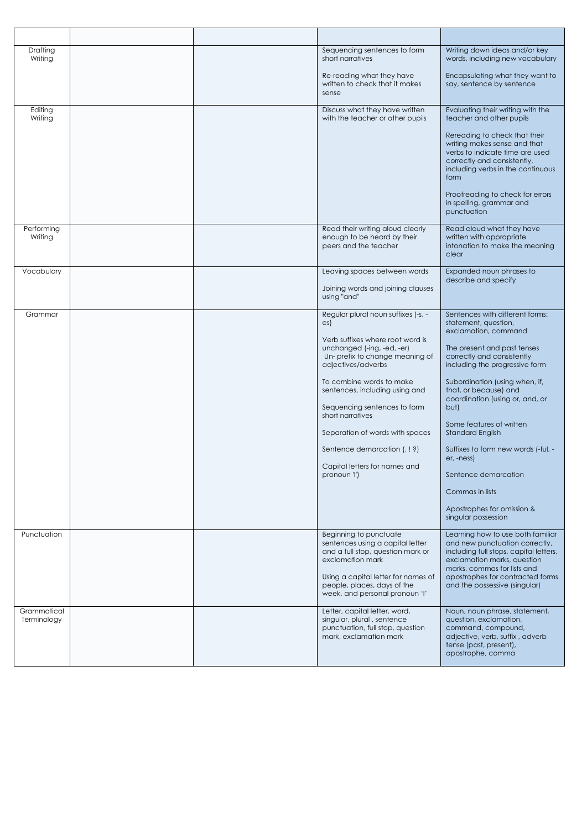| Drafting<br>Writing        |  | Sequencing sentences to form<br>short narratives<br>Re-reading what they have<br>written to check that it makes<br>sense                                                                                                                                                                                                                                                                                  | Writing down ideas and/or key<br>words, including new vocabulary<br>Encapsulating what they want to<br>say, sentence by sentence                                                                                                                                                                                                                                                                                                                                                                 |
|----------------------------|--|-----------------------------------------------------------------------------------------------------------------------------------------------------------------------------------------------------------------------------------------------------------------------------------------------------------------------------------------------------------------------------------------------------------|--------------------------------------------------------------------------------------------------------------------------------------------------------------------------------------------------------------------------------------------------------------------------------------------------------------------------------------------------------------------------------------------------------------------------------------------------------------------------------------------------|
| Editing<br>Writing         |  | Discuss what they have written<br>with the teacher or other pupils                                                                                                                                                                                                                                                                                                                                        | Evaluating their writing with the<br>teacher and other pupils<br>Rereading to check that their<br>writing makes sense and that<br>verbs to indicate time are used<br>correctly and consistently,<br>including verbs in the continuous<br>form<br>Proofreading to check for errors<br>in spelling, grammar and<br>punctuation                                                                                                                                                                     |
| Performing<br>Writing      |  | Read their writing aloud clearly<br>enough to be heard by their<br>peers and the teacher                                                                                                                                                                                                                                                                                                                  | Read aloud what they have<br>written with appropriate<br>intonation to make the meaning<br>clear                                                                                                                                                                                                                                                                                                                                                                                                 |
| Vocabulary                 |  | Leaving spaces between words<br>Joining words and joining clauses<br>using "and"                                                                                                                                                                                                                                                                                                                          | Expanded noun phrases to<br>describe and specify                                                                                                                                                                                                                                                                                                                                                                                                                                                 |
| Grammar                    |  | Regular plural noun suffixes (-s, -<br>es)<br>Verb suffixes where root word is<br>unchanged (-ing, -ed, -er)<br>Un- prefix to change meaning of<br>adjectives/adverbs<br>To combine words to make<br>sentences, including using and<br>Sequencing sentences to form<br>short narratives<br>Separation of words with spaces<br>Sentence demarcation (.!?)<br>Capital letters for names and<br>pronoun 'l') | Sentences with different forms:<br>statement, question,<br>exclamation, command<br>The present and past tenses<br>correctly and consistently<br>including the progressive form<br>Subordination (using when, if,<br>that, or because) and<br>coordination (using or, and, or<br>but)<br>Some features of written<br><b>Standard English</b><br>Suffixes to form new words (-ful, -<br>er, -ness)<br>Sentence demarcation<br>Commas in lists<br>Apostrophes for omission &<br>singular possession |
| Punctuation                |  | Beginning to punctuate<br>sentences using a capital letter<br>and a full stop, question mark or<br>exclamation mark<br>Using a capital letter for names of<br>people, places, days of the<br>week, and personal pronoun 'I'                                                                                                                                                                               | Learning how to use both familiar<br>and new punctuation correctly,<br>including full stops, capital letters,<br>exclamation marks, question<br>marks, commas for lists and<br>apostrophes for contracted forms<br>and the possessive (singular)                                                                                                                                                                                                                                                 |
| Grammatical<br>Terminology |  | Letter, capital letter, word,<br>singular, plural, sentence<br>punctuation, full stop, question<br>mark, exclamation mark                                                                                                                                                                                                                                                                                 | Noun, noun phrase, statement,<br>question, exclamation,<br>command, compound,<br>adjective, verb, suffix, adverb<br>tense (past, present),<br>apostrophe, comma                                                                                                                                                                                                                                                                                                                                  |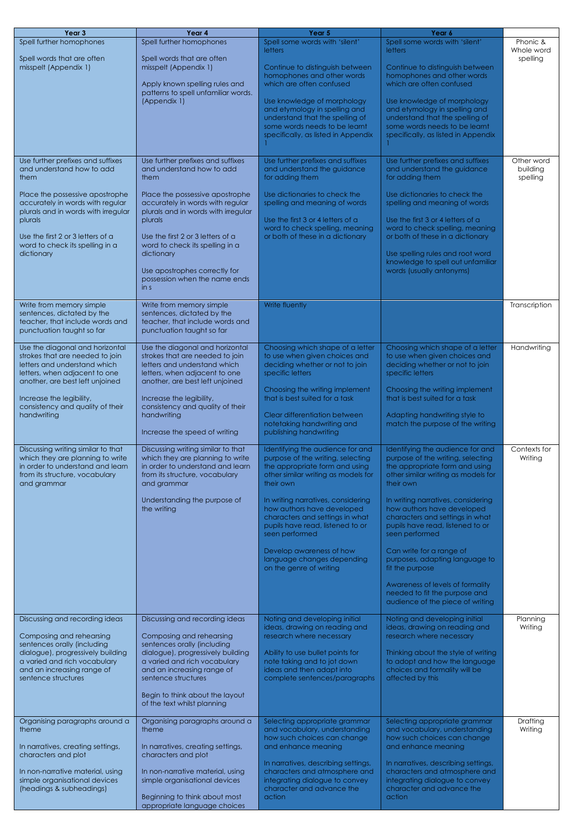| Year <sub>3</sub>                                                                                                                                           | Year 4                                                                                                                                                                           | Year 5                                                                                                                                                      | Year 6                                                                                                                                                      |                                    |
|-------------------------------------------------------------------------------------------------------------------------------------------------------------|----------------------------------------------------------------------------------------------------------------------------------------------------------------------------------|-------------------------------------------------------------------------------------------------------------------------------------------------------------|-------------------------------------------------------------------------------------------------------------------------------------------------------------|------------------------------------|
| Spell further homophones<br>Spell words that are often                                                                                                      | Spell further homophones<br>Spell words that are often                                                                                                                           | Spell some words with 'silent'<br>letters                                                                                                                   | Spell some words with 'silent'<br><b>letters</b>                                                                                                            | Phonic &<br>Whole word<br>spelling |
| misspelt (Appendix 1)                                                                                                                                       | misspelt (Appendix 1)<br>Apply known spelling rules and                                                                                                                          | Continue to distinguish between<br>homophones and other words<br>which are often confused                                                                   | Continue to distinguish between<br>homophones and other words<br>which are often confused                                                                   |                                    |
|                                                                                                                                                             | patterns to spell unfamiliar words.<br>(Appendix 1)                                                                                                                              | Use knowledge of morphology<br>and etymology in spelling and                                                                                                | Use knowledge of morphology<br>and etymology in spelling and                                                                                                |                                    |
|                                                                                                                                                             |                                                                                                                                                                                  | understand that the spelling of<br>some words needs to be learnt                                                                                            | understand that the spelling of<br>some words needs to be learnt                                                                                            |                                    |
|                                                                                                                                                             |                                                                                                                                                                                  | specifically, as listed in Appendix                                                                                                                         | specifically, as listed in Appendix                                                                                                                         |                                    |
| Use further prefixes and suffixes<br>and understand how to add<br>them                                                                                      | Use further prefixes and suffixes<br>and understand how to add<br>them                                                                                                           | Use further prefixes and suffixes<br>and understand the guidance<br>for adding them                                                                         | Use further prefixes and suffixes<br>and understand the guidance<br>for adding them                                                                         | Other word<br>building<br>spelling |
| Place the possessive apostrophe<br>accurately in words with regular<br>plurals and in words with irregular<br>plurals                                       | Place the possessive apostrophe<br>accurately in words with regular<br>plurals and in words with irregular<br>plurals                                                            | Use dictionaries to check the<br>spelling and meaning of words<br>Use the first 3 or 4 letters of a                                                         | Use dictionaries to check the<br>spelling and meaning of words<br>Use the first 3 or 4 letters of a                                                         |                                    |
| Use the first 2 or 3 letters of a<br>word to check its spelling in a<br>dictionary                                                                          | Use the first 2 or 3 letters of a<br>word to check its spelling in a<br>dictionary<br>Use apostrophes correctly for<br>possession when the name ends<br>$\mathsf{in} \mathsf{s}$ | word to check spelling, meaning<br>or both of these in a dictionary                                                                                         | word to check spelling, meaning<br>or both of these in a dictionary<br>Use spelling rules and root word                                                     |                                    |
|                                                                                                                                                             |                                                                                                                                                                                  |                                                                                                                                                             | knowledge to spell out unfamiliar<br>words (usually antonyms)                                                                                               |                                    |
| Write from memory simple                                                                                                                                    | Write from memory simple                                                                                                                                                         | Write fluently                                                                                                                                              |                                                                                                                                                             | Transcription                      |
| sentences, dictated by the<br>teacher, that include words and<br>punctuation taught so far                                                                  | sentences, dictated by the<br>teacher, that include words and<br>punctuation taught so far                                                                                       |                                                                                                                                                             |                                                                                                                                                             |                                    |
| Use the diagonal and horizontal<br>strokes that are needed to join<br>letters and understand which<br>letters, when adjacent to one                         | Use the diagonal and horizontal<br>strokes that are needed to join<br>letters and understand which<br>letters, when adjacent to one                                              | Choosing which shape of a letter<br>to use when given choices and<br>deciding whether or not to join<br>specific letters                                    | Choosing which shape of a letter<br>to use when given choices and<br>deciding whether or not to join<br>specific letters                                    | Handwriting                        |
| another, are best left unjoined                                                                                                                             | another, are best left unjoined                                                                                                                                                  | Choosing the writing implement                                                                                                                              | Choosing the writing implement                                                                                                                              |                                    |
| Increase the legibility,<br>consistency and quality of their<br>handwriting                                                                                 | Increase the legibility,<br>consistency and quality of their<br>handwriting                                                                                                      | that is best suited for a task<br>Clear differentiation between                                                                                             | that is best suited for a task<br>Adapting handwriting style to                                                                                             |                                    |
|                                                                                                                                                             | Increase the speed of writing                                                                                                                                                    | notetaking handwriting and<br>publishing handwriting                                                                                                        | match the purpose of the writing                                                                                                                            |                                    |
| Discussing writing similar to that<br>which they are planning to write<br>in order to understand and learn<br>from its structure, vocabulary<br>and grammar | Discussing writing similar to that<br>which they are planning to write<br>in order to understand and learn<br>from its structure, vocabulary<br>and grammar                      | Identifying the audience for and<br>purpose of the writing, selecting<br>the appropriate form and using<br>other similar writing as models for<br>their own | Identifying the audience for and<br>purpose of the writing, selecting<br>the appropriate form and using<br>other similar writing as models for<br>their own | Contexts for<br>Writing            |
|                                                                                                                                                             | Understanding the purpose of<br>the writing                                                                                                                                      | In writing narratives, considering<br>how authors have developed<br>characters and settings in what<br>pupils have read, listened to or<br>seen performed   | In writing narratives, considering<br>how authors have developed<br>characters and settings in what<br>pupils have read, listened to or<br>seen performed   |                                    |
|                                                                                                                                                             |                                                                                                                                                                                  | Develop awareness of how<br>language changes depending<br>on the genre of writing                                                                           | Can write for a range of<br>purposes, adapting language to<br>fit the purpose                                                                               |                                    |
|                                                                                                                                                             |                                                                                                                                                                                  |                                                                                                                                                             | Awareness of levels of formality<br>needed to fit the purpose and<br>audience of the piece of writing                                                       |                                    |
| Discussing and recording ideas<br>Composing and rehearsing<br>sentences orally (including                                                                   | Discussing and recording ideas<br>Composing and rehearsing<br>sentences orally (including                                                                                        | Noting and developing initial<br>ideas, drawing on reading and<br>research where necessary                                                                  | Noting and developing initial<br>ideas, drawing on reading and<br>research where necessary                                                                  | Planning<br>Writing                |
| dialogue), progressively building<br>a varied and rich vocabulary<br>and an increasing range of<br>sentence structures                                      | dialogue), progressively building<br>a varied and rich vocabulary<br>and an increasing range of<br>sentence structures                                                           | Ability to use bullet points for<br>note taking and to jot down<br>ideas and then adapt into<br>complete sentences/paragraphs                               | Thinking about the style of writing<br>to adopt and how the language<br>choices and formality will be<br>affected by this                                   |                                    |
|                                                                                                                                                             | Begin to think about the layout<br>of the text whilst planning                                                                                                                   |                                                                                                                                                             |                                                                                                                                                             |                                    |
| Organising paragraphs around a<br>theme                                                                                                                     | Organising paragraphs around a<br>theme                                                                                                                                          | Selecting appropriate grammar<br>and vocabulary, understanding<br>how such choices can change                                                               | Selecting appropriate grammar<br>and vocabulary, understanding<br>how such choices can change                                                               | Drafting<br>Writing                |
| In narratives, creating settings,<br>characters and plot                                                                                                    | In narratives, creating settings,<br>characters and plot                                                                                                                         | and enhance meaning                                                                                                                                         | and enhance meaning                                                                                                                                         |                                    |
| In non-narrative material, using<br>simple organisational devices                                                                                           | In non-narrative material, using<br>simple organisational devices                                                                                                                | In narratives, describing settings,<br>characters and atmosphere and<br>integrating dialogue to convey                                                      | In narratives, describing settings,<br>characters and atmosphere and<br>integrating dialogue to convey                                                      |                                    |
| (headings & subheadings)                                                                                                                                    | Beginning to think about most<br>appropriate language choices                                                                                                                    | character and advance the<br>action                                                                                                                         | character and advance the<br>action                                                                                                                         |                                    |
|                                                                                                                                                             |                                                                                                                                                                                  |                                                                                                                                                             |                                                                                                                                                             |                                    |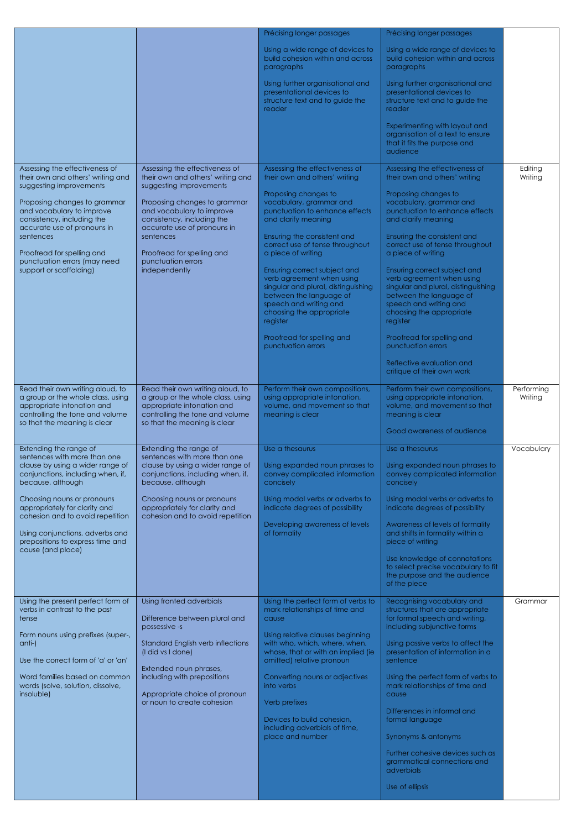|                                                                                                                                                                        |                                                                                                                                                                                                                                     | Précising longer passages                                                                                                                                                                     | Précising longer passages                                                                                                                                                                     |                       |
|------------------------------------------------------------------------------------------------------------------------------------------------------------------------|-------------------------------------------------------------------------------------------------------------------------------------------------------------------------------------------------------------------------------------|-----------------------------------------------------------------------------------------------------------------------------------------------------------------------------------------------|-----------------------------------------------------------------------------------------------------------------------------------------------------------------------------------------------|-----------------------|
|                                                                                                                                                                        |                                                                                                                                                                                                                                     | Using a wide range of devices to<br>build cohesion within and across<br>paragraphs                                                                                                            | Using a wide range of devices to<br>build cohesion within and across<br>paragraphs                                                                                                            |                       |
|                                                                                                                                                                        |                                                                                                                                                                                                                                     | Using further organisational and<br>presentational devices to<br>structure text and to guide the<br>reader                                                                                    | Using further organisational and<br>presentational devices to<br>structure text and to guide the<br>reader                                                                                    |                       |
|                                                                                                                                                                        |                                                                                                                                                                                                                                     |                                                                                                                                                                                               | Experimenting with layout and<br>organisation of a text to ensure<br>that it fits the purpose and<br>audience                                                                                 |                       |
| Assessing the effectiveness of<br>their own and others' writing and<br>suggesting improvements                                                                         | Assessing the effectiveness of<br>their own and others' writing and                                                                                                                                                                 | Assessing the effectiveness of<br>their own and others' writing                                                                                                                               | Assessing the effectiveness of<br>their own and others' writing                                                                                                                               | Editing<br>Writing    |
| Proposing changes to grammar<br>and vocabulary to improve<br>consistency, including the<br>accurate use of pronouns in                                                 | suggesting improvements<br>Proposing changes to grammar<br>and vocabulary to improve<br>consistency, including the<br>accurate use of pronouns in<br>sentences<br>Proofread for spelling and<br>punctuation errors<br>independently | Proposing changes to<br>vocabulary, grammar and<br>punctuation to enhance effects<br>and clarify meaning                                                                                      | Proposing changes to<br>vocabulary, grammar and<br>punctuation to enhance effects<br>and clarify meaning                                                                                      |                       |
| sentences<br>Proofread for spelling and<br>punctuation errors (may need                                                                                                |                                                                                                                                                                                                                                     | Ensuring the consistent and<br>correct use of tense throughout<br>a piece of writing                                                                                                          | Ensuring the consistent and<br>correct use of tense throughout<br>a piece of writing                                                                                                          |                       |
| support or scaffolding)                                                                                                                                                |                                                                                                                                                                                                                                     | Ensuring correct subject and<br>verb agreement when using<br>singular and plural, distinguishing<br>between the language of<br>speech and writing and<br>choosing the appropriate<br>register | Ensuring correct subject and<br>verb agreement when using<br>singular and plural, distinguishing<br>between the language of<br>speech and writing and<br>choosing the appropriate<br>register |                       |
|                                                                                                                                                                        |                                                                                                                                                                                                                                     | Proofread for spelling and<br>punctuation errors                                                                                                                                              | Proofread for spelling and<br>punctuation errors                                                                                                                                              |                       |
|                                                                                                                                                                        |                                                                                                                                                                                                                                     |                                                                                                                                                                                               | Reflective evaluation and<br>critique of their own work                                                                                                                                       |                       |
| Read their own writing aloud, to<br>a group or the whole class, using<br>appropriate intonation and<br>controlling the tone and volume<br>so that the meaning is clear | Read their own writing aloud, to<br>a group or the whole class, using<br>appropriate intonation and<br>controlling the tone and volume<br>so that the meaning is clear                                                              | Perform their own compositions,<br>using appropriate intonation,<br>volume, and movement so that<br>meaning is clear                                                                          | Perform their own compositions,<br>using appropriate intonation,<br>volume, and movement so that<br>meaning is clear                                                                          | Performing<br>Writing |
|                                                                                                                                                                        |                                                                                                                                                                                                                                     |                                                                                                                                                                                               | Good awareness of audience                                                                                                                                                                    |                       |
| Extending the range of<br>sentences with more than one                                                                                                                 | Extending the range of<br>sentences with more than one                                                                                                                                                                              | Use a thesaurus                                                                                                                                                                               | Use a thesaurus                                                                                                                                                                               | Vocabulary            |
| clause by using a wider range of<br>conjunctions, including when, if,<br>because, although                                                                             | clause by using a wider range of<br>conjunctions, including when, if,<br>because, although                                                                                                                                          | Using expanded noun phrases to<br>convey complicated information<br>concisely                                                                                                                 | Using expanded noun phrases to<br>convey complicated information<br>concisely                                                                                                                 |                       |
| Choosing nouns or pronouns<br>appropriately for clarity and<br>cohesion and to avoid repetition                                                                        | Choosing nouns or pronouns<br>appropriately for clarity and<br>cohesion and to avoid repetition                                                                                                                                     | Using modal verbs or adverbs to<br>indicate degrees of possibility                                                                                                                            | Using modal verbs or adverbs to<br>indicate degrees of possibility                                                                                                                            |                       |
| Using conjunctions, adverbs and<br>prepositions to express time and<br>cause (and place)                                                                               |                                                                                                                                                                                                                                     | Developing awareness of levels<br>of formality                                                                                                                                                | Awareness of levels of formality<br>and shifts in formality within a<br>piece of writing                                                                                                      |                       |
|                                                                                                                                                                        |                                                                                                                                                                                                                                     |                                                                                                                                                                                               | Use knowledge of connotations<br>to select precise vocabulary to fit<br>the purpose and the audience<br>of the piece                                                                          |                       |
| Using the present perfect form of<br>verbs in contrast to the past<br>tense                                                                                            | Using fronted adverbials<br>Difference between plural and<br>possessive -s                                                                                                                                                          | Using the perfect form of verbs to<br>mark relationships of time and<br>cause                                                                                                                 | Recognising vocabulary and<br>structures that are appropriate<br>for formal speech and writing,<br>including subjunctive forms                                                                | Grammar               |
| Form nouns using prefixes (super-,<br>anti-)<br>Use the correct form of 'a' or 'an'                                                                                    | <b>Standard English verb inflections</b><br>(I did vs I done)                                                                                                                                                                       | Using relative clauses beginning<br>with who, which, where, when,<br>whose, that or with an implied (ie<br>omitted) relative pronoun                                                          | Using passive verbs to affect the<br>presentation of information in a<br>sentence                                                                                                             |                       |
| Word families based on common<br>words (solve, solution, dissolve,<br>insoluble)                                                                                       | Extended noun phrases,<br>including with prepositions<br>Appropriate choice of pronoun                                                                                                                                              | Converting nouns or adjectives<br>into verbs                                                                                                                                                  | Using the perfect form of verbs to<br>mark relationships of time and<br>cause                                                                                                                 |                       |
|                                                                                                                                                                        | or noun to create cohesion                                                                                                                                                                                                          | Verb prefixes<br>Devices to build cohesion,                                                                                                                                                   | Differences in informal and<br>formal language                                                                                                                                                |                       |
|                                                                                                                                                                        |                                                                                                                                                                                                                                     | including adverbials of time,<br>place and number                                                                                                                                             | Synonyms & antonyms                                                                                                                                                                           |                       |
|                                                                                                                                                                        |                                                                                                                                                                                                                                     |                                                                                                                                                                                               | Further cohesive devices such as<br>grammatical connections and<br>adverbials                                                                                                                 |                       |
|                                                                                                                                                                        |                                                                                                                                                                                                                                     |                                                                                                                                                                                               | Use of ellipsis                                                                                                                                                                               |                       |